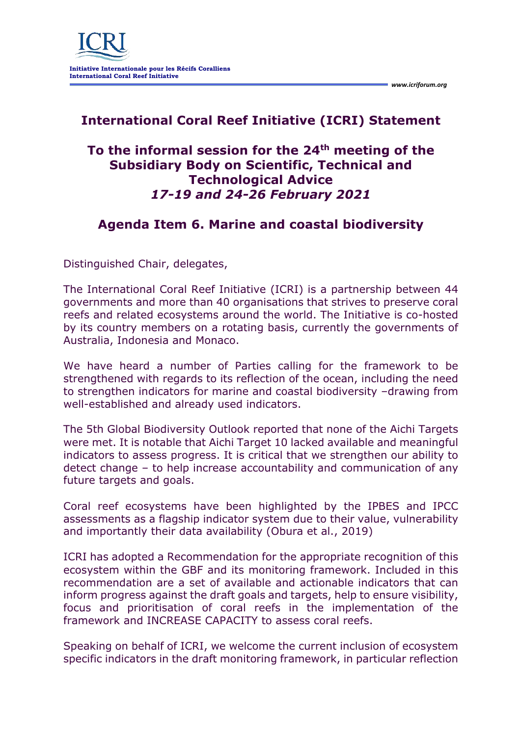## **International Coral Reef Initiative (ICRI) Statement**

## **To the informal session for the 24th meeting of the Subsidiary Body on Scientific, Technical and Technological Advice** *17-19 and 24-26 February 2021*

## **Agenda Item 6. Marine and coastal biodiversity**

Distinguished Chair, delegates,

The International Coral Reef Initiative (ICRI) is a partnership between 44 governments and more than 40 organisations that strives to preserve coral reefs and related ecosystems around the world. The Initiative is co-hosted by its country members on a rotating basis, currently the governments of Australia, Indonesia and Monaco.

We have heard a number of Parties calling for the framework to be strengthened with regards to its reflection of the ocean, including the need to strengthen indicators for marine and coastal biodiversity –drawing from well-established and already used indicators.

The 5th Global Biodiversity Outlook reported that none of the Aichi Targets were met. It is notable that Aichi Target 10 lacked available and meaningful indicators to assess progress. It is critical that we strengthen our ability to detect change – to help increase accountability and communication of any future targets and goals.

Coral reef ecosystems have been highlighted by the IPBES and IPCC assessments as a flagship indicator system due to their value, vulnerability and importantly their data availability (Obura et al., 2019)

ICRI has adopted a Recommendation for the appropriate recognition of this ecosystem within the GBF and its monitoring framework. Included in this recommendation are a set of available and actionable indicators that can inform progress against the draft goals and targets, help to ensure visibility, focus and prioritisation of coral reefs in the implementation of the framework and INCREASE CAPACITY to assess coral reefs.

Speaking on behalf of ICRI, we welcome the current inclusion of ecosystem specific indicators in the draft monitoring framework, in particular reflection